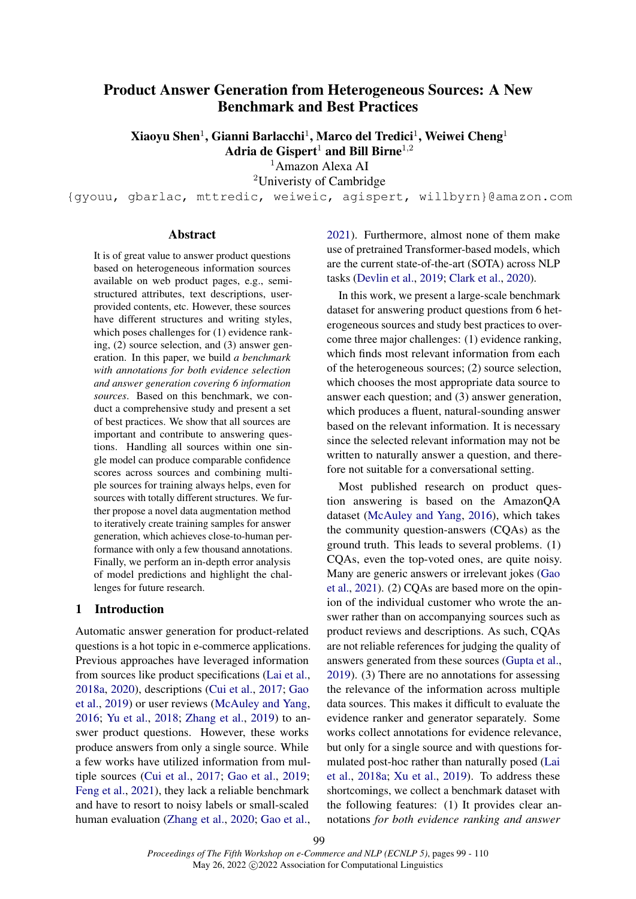# Product Answer Generation from Heterogeneous Sources: A New Benchmark and Best Practices

Xiaoyu Shen $^1$ , Gianni Barlacchi $^1$ , Marco del Tredici $^1$ , Weiwei Cheng $^1$ Adria de Gispert<sup>1</sup> and Bill Birne<sup>1,2</sup>

<sup>1</sup>Amazon Alexa AI

<sup>2</sup>Univeristy of Cambridge

{gyouu, gbarlac, mttredic, weiweic, agispert, willbyrn}@amazon.com

### Abstract

It is of great value to answer product questions based on heterogeneous information sources available on web product pages, e.g., semistructured attributes, text descriptions, userprovided contents, etc. However, these sources have different structures and writing styles, which poses challenges for (1) evidence ranking, (2) source selection, and (3) answer generation. In this paper, we build *a benchmark with annotations for both evidence selection and answer generation covering 6 information sources*. Based on this benchmark, we conduct a comprehensive study and present a set of best practices. We show that all sources are important and contribute to answering questions. Handling all sources within one single model can produce comparable confidence scores across sources and combining multiple sources for training always helps, even for sources with totally different structures. We further propose a novel data augmentation method to iteratively create training samples for answer generation, which achieves close-to-human performance with only a few thousand annotations. Finally, we perform an in-depth error analysis of model predictions and highlight the challenges for future research.

#### 1 Introduction

Automatic answer generation for product-related questions is a hot topic in e-commerce applications. Previous approaches have leveraged information from sources like product specifications [\(Lai et al.,](#page-9-0) [2018a,](#page-9-0) [2020\)](#page-9-1), descriptions [\(Cui et al.,](#page-8-0) [2017;](#page-8-0) [Gao](#page-8-1) [et al.,](#page-8-1) [2019\)](#page-8-1) or user reviews [\(McAuley and Yang,](#page-9-2) [2016;](#page-9-2) [Yu et al.,](#page-9-3) [2018;](#page-9-3) [Zhang et al.,](#page-9-4) [2019\)](#page-9-4) to answer product questions. However, these works produce answers from only a single source. While a few works have utilized information from multiple sources [\(Cui et al.,](#page-8-0) [2017;](#page-8-0) [Gao et al.,](#page-8-1) [2019;](#page-8-1) [Feng et al.,](#page-8-2) [2021\)](#page-8-2), they lack a reliable benchmark and have to resort to noisy labels or small-scaled human evaluation [\(Zhang et al.,](#page-9-5) [2020;](#page-9-5) [Gao et al.,](#page-8-3) [2021\)](#page-8-3). Furthermore, almost none of them make use of pretrained Transformer-based models, which are the current state-of-the-art (SOTA) across NLP tasks [\(Devlin et al.,](#page-8-4) [2019;](#page-8-4) [Clark et al.,](#page-8-5) [2020\)](#page-8-5).

In this work, we present a large-scale benchmark dataset for answering product questions from 6 heterogeneous sources and study best practices to overcome three major challenges: (1) evidence ranking, which finds most relevant information from each of the heterogeneous sources; (2) source selection, which chooses the most appropriate data source to answer each question; and (3) answer generation, which produces a fluent, natural-sounding answer based on the relevant information. It is necessary since the selected relevant information may not be written to naturally answer a question, and therefore not suitable for a conversational setting.

Most published research on product question answering is based on the AmazonQA dataset [\(McAuley and Yang,](#page-9-2) [2016\)](#page-9-2), which takes the community question-answers (CQAs) as the ground truth. This leads to several problems. (1) CQAs, even the top-voted ones, are quite noisy. Many are generic answers or irrelevant jokes [\(Gao](#page-8-3) [et al.,](#page-8-3) [2021\)](#page-8-3). (2) CQAs are based more on the opinion of the individual customer who wrote the answer rather than on accompanying sources such as product reviews and descriptions. As such, CQAs are not reliable references for judging the quality of answers generated from these sources [\(Gupta et al.,](#page-8-6) [2019\)](#page-8-6). (3) There are no annotations for assessing the relevance of the information across multiple data sources. This makes it difficult to evaluate the evidence ranker and generator separately. Some works collect annotations for evidence relevance, but only for a single source and with questions formulated post-hoc rather than naturally posed [\(Lai](#page-9-0) [et al.,](#page-9-0) [2018a;](#page-9-0) [Xu et al.,](#page-9-6) [2019\)](#page-9-6). To address these shortcomings, we collect a benchmark dataset with the following features: (1) It provides clear annotations *for both evidence ranking and answer*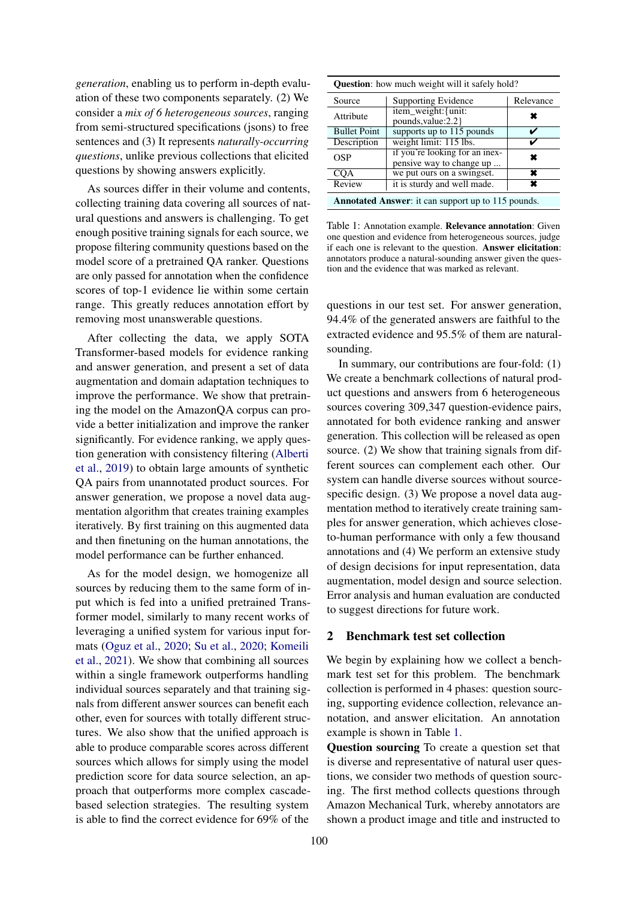*generation*, enabling us to perform in-depth evaluation of these two components separately. (2) We consider a *mix of 6 heterogeneous sources*, ranging from semi-structured specifications (jsons) to free sentences and (3) It represents *naturally-occurring questions*, unlike previous collections that elicited questions by showing answers explicitly.

As sources differ in their volume and contents, collecting training data covering all sources of natural questions and answers is challenging. To get enough positive training signals for each source, we propose filtering community questions based on the model score of a pretrained QA ranker. Questions are only passed for annotation when the confidence scores of top-1 evidence lie within some certain range. This greatly reduces annotation effort by removing most unanswerable questions.

After collecting the data, we apply SOTA Transformer-based models for evidence ranking and answer generation, and present a set of data augmentation and domain adaptation techniques to improve the performance. We show that pretraining the model on the AmazonQA corpus can provide a better initialization and improve the ranker significantly. For evidence ranking, we apply question generation with consistency filtering [\(Alberti](#page-8-7) [et al.,](#page-8-7) [2019\)](#page-8-7) to obtain large amounts of synthetic QA pairs from unannotated product sources. For answer generation, we propose a novel data augmentation algorithm that creates training examples iteratively. By first training on this augmented data and then finetuning on the human annotations, the model performance can be further enhanced.

As for the model design, we homogenize all sources by reducing them to the same form of input which is fed into a unified pretrained Transformer model, similarly to many recent works of leveraging a unified system for various input formats [\(Oguz et al.,](#page-9-7) [2020;](#page-9-7) [Su et al.,](#page-9-8) [2020;](#page-9-8) [Komeili](#page-9-9) [et al.,](#page-9-9) [2021\)](#page-9-9). We show that combining all sources within a single framework outperforms handling individual sources separately and that training signals from different answer sources can benefit each other, even for sources with totally different structures. We also show that the unified approach is able to produce comparable scores across different sources which allows for simply using the model prediction score for data source selection, an approach that outperforms more complex cascadebased selection strategies. The resulting system is able to find the correct evidence for 69% of the

<span id="page-1-0"></span>

| <b>Question:</b> how much weight will it safely hold?     |                                                            |   |  |  |
|-----------------------------------------------------------|------------------------------------------------------------|---|--|--|
| Source                                                    | <b>Supporting Evidence</b>                                 |   |  |  |
| Attribute                                                 | item_weight: {unit:<br>pounds, value: 2.2 }                |   |  |  |
| <b>Bullet Point</b>                                       | supports up to 115 pounds                                  |   |  |  |
| Description                                               | weight limit: 115 lbs.                                     |   |  |  |
| OSP                                                       | if you're looking for an inex-<br>pensive way to change up | × |  |  |
| $CQ\overline{A}$                                          | we put ours on a swingset.                                 | × |  |  |
| Review                                                    | it is sturdy and well made.                                |   |  |  |
| <b>Annotated Answer:</b> it can support up to 115 pounds. |                                                            |   |  |  |

Table 1: Annotation example. Relevance annotation: Given one question and evidence from heterogeneous sources, judge if each one is relevant to the question. Answer elicitation: annotators produce a natural-sounding answer given the question and the evidence that was marked as relevant.

questions in our test set. For answer generation, 94.4% of the generated answers are faithful to the extracted evidence and 95.5% of them are naturalsounding.

In summary, our contributions are four-fold: (1) We create a benchmark collections of natural product questions and answers from 6 heterogeneous sources covering 309,347 question-evidence pairs, annotated for both evidence ranking and answer generation. This collection will be released as open source. (2) We show that training signals from different sources can complement each other. Our system can handle diverse sources without sourcespecific design. (3) We propose a novel data augmentation method to iteratively create training samples for answer generation, which achieves closeto-human performance with only a few thousand annotations and (4) We perform an extensive study of design decisions for input representation, data augmentation, model design and source selection. Error analysis and human evaluation are conducted to suggest directions for future work.

### 2 Benchmark test set collection

We begin by explaining how we collect a benchmark test set for this problem. The benchmark collection is performed in 4 phases: question sourcing, supporting evidence collection, relevance annotation, and answer elicitation. An annotation example is shown in Table [1.](#page-1-0)

Question sourcing To create a question set that is diverse and representative of natural user questions, we consider two methods of question sourcing. The first method collects questions through Amazon Mechanical Turk, whereby annotators are shown a product image and title and instructed to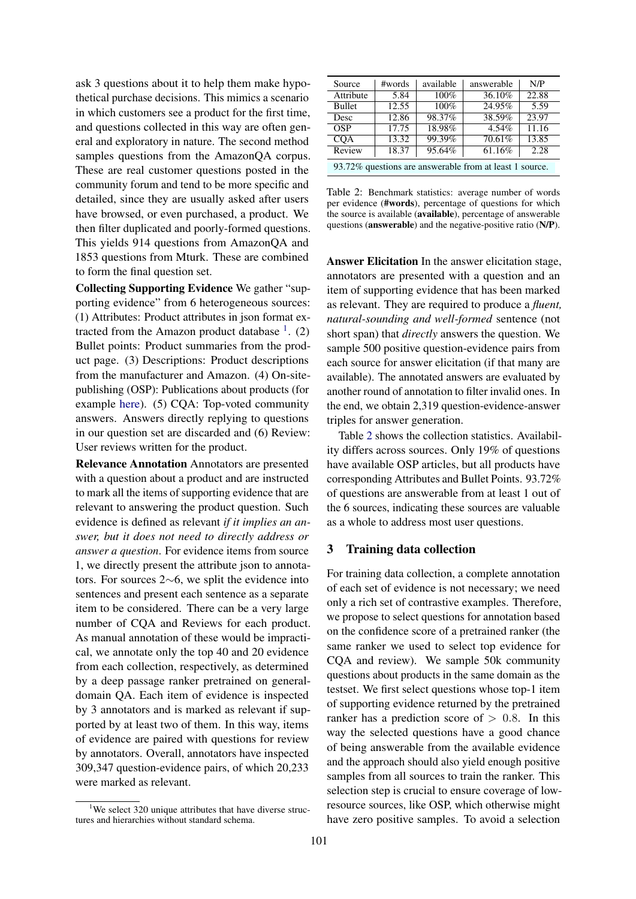ask 3 questions about it to help them make hypothetical purchase decisions. This mimics a scenario in which customers see a product for the first time, and questions collected in this way are often general and exploratory in nature. The second method samples questions from the AmazonQA corpus. These are real customer questions posted in the community forum and tend to be more specific and detailed, since they are usually asked after users have browsed, or even purchased, a product. We then filter duplicated and poorly-formed questions. This yields 914 questions from AmazonQA and 1853 questions from Mturk. These are combined to form the final question set.

Collecting Supporting Evidence We gather "supporting evidence" from 6 heterogeneous sources: (1) Attributes: Product attributes in json format extracted from the Amazon product database  $<sup>1</sup>$  $<sup>1</sup>$  $<sup>1</sup>$ . (2)</sup> Bullet points: Product summaries from the product page. (3) Descriptions: Product descriptions from the manufacturer and Amazon. (4) On-sitepublishing (OSP): Publications about products (for example [here\)](https://www.amazon.com/ospublishing/story/14423b91-4203-413e-a885-6005dca8d68e). (5) CQA: Top-voted community answers. Answers directly replying to questions in our question set are discarded and (6) Review: User reviews written for the product.

Relevance Annotation Annotators are presented with a question about a product and are instructed to mark all the items of supporting evidence that are relevant to answering the product question. Such evidence is defined as relevant *if it implies an answer, but it does not need to directly address or answer a question*. For evidence items from source 1, we directly present the attribute json to annotators. For sources 2∼6, we split the evidence into sentences and present each sentence as a separate item to be considered. There can be a very large number of CQA and Reviews for each product. As manual annotation of these would be impractical, we annotate only the top 40 and 20 evidence from each collection, respectively, as determined by a deep passage ranker pretrained on generaldomain QA. Each item of evidence is inspected by 3 annotators and is marked as relevant if supported by at least two of them. In this way, items of evidence are paired with questions for review by annotators. Overall, annotators have inspected 309,347 question-evidence pairs, of which 20,233 were marked as relevant.

<span id="page-2-1"></span>

| Source                                                  | #words             | available | answerable | N/P               |
|---------------------------------------------------------|--------------------|-----------|------------|-------------------|
| Attribute                                               | 5.84               | 100%      | 36.10%     | 22.88             |
| Bullet                                                  | $12.\overline{55}$ | 100%      | 24.95%     | $\overline{5.59}$ |
| Desc                                                    | 12.86              | 98.37%    | 38.59%     | 23.97             |
| OSP                                                     | 17.75              | 18.98%    | $4.54\%$   | 11.16             |
| COA                                                     | 13.32              | 99.39%    | 70.61%     | 13.85             |
| Review                                                  | 18.37              | 95.64%    | 61.16%     | 2.28              |
| 93.72% questions are answerable from at least 1 source. |                    |           |            |                   |

Table 2: Benchmark statistics: average number of words per evidence (#words), percentage of questions for which the source is available (available), percentage of answerable questions (answerable) and the negative-positive ratio (N/P).

Answer Elicitation In the answer elicitation stage, annotators are presented with a question and an item of supporting evidence that has been marked as relevant. They are required to produce a *fluent, natural-sounding and well-formed* sentence (not short span) that *directly* answers the question. We sample 500 positive question-evidence pairs from each source for answer elicitation (if that many are available). The annotated answers are evaluated by another round of annotation to filter invalid ones. In the end, we obtain 2,319 question-evidence-answer triples for answer generation.

Table [2](#page-2-1) shows the collection statistics. Availability differs across sources. Only 19% of questions have available OSP articles, but all products have corresponding Attributes and Bullet Points. 93.72% of questions are answerable from at least 1 out of the 6 sources, indicating these sources are valuable as a whole to address most user questions.

### 3 Training data collection

For training data collection, a complete annotation of each set of evidence is not necessary; we need only a rich set of contrastive examples. Therefore, we propose to select questions for annotation based on the confidence score of a pretrained ranker (the same ranker we used to select top evidence for CQA and review). We sample 50k community questions about products in the same domain as the testset. We first select questions whose top-1 item of supporting evidence returned by the pretrained ranker has a prediction score of  $> 0.8$ . In this way the selected questions have a good chance of being answerable from the available evidence and the approach should also yield enough positive samples from all sources to train the ranker. This selection step is crucial to ensure coverage of lowresource sources, like OSP, which otherwise might have zero positive samples. To avoid a selection

<span id="page-2-0"></span><sup>&</sup>lt;sup>1</sup>We select 320 unique attributes that have diverse structures and hierarchies without standard schema.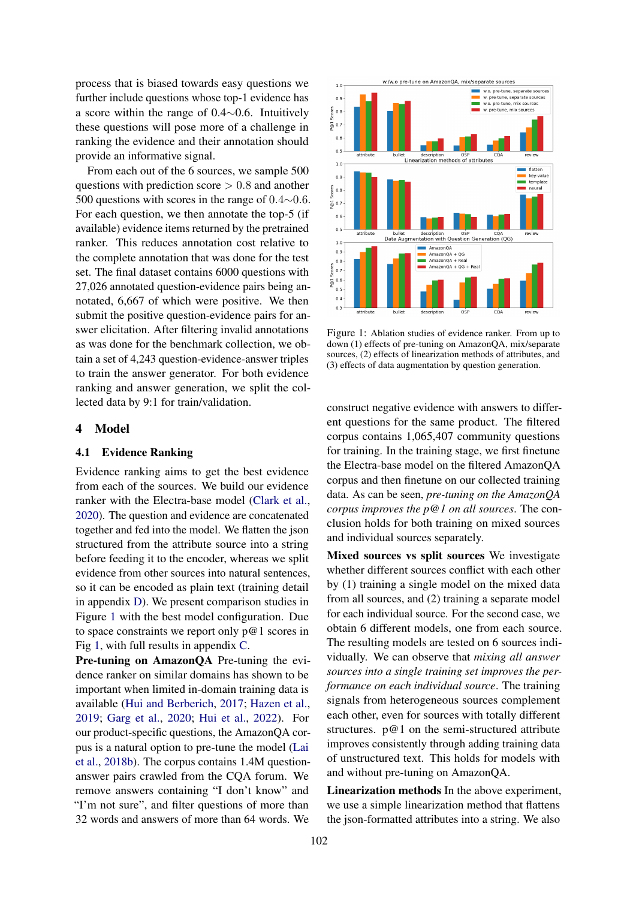process that is biased towards easy questions we further include questions whose top-1 evidence has a score within the range of 0.4∼0.6. Intuitively these questions will pose more of a challenge in ranking the evidence and their annotation should provide an informative signal.

From each out of the 6 sources, we sample 500 questions with prediction score  $> 0.8$  and another 500 questions with scores in the range of 0.4∼0.6. For each question, we then annotate the top-5 (if available) evidence items returned by the pretrained ranker. This reduces annotation cost relative to the complete annotation that was done for the test set. The final dataset contains 6000 questions with 27,026 annotated question-evidence pairs being annotated, 6,667 of which were positive. We then submit the positive question-evidence pairs for answer elicitation. After filtering invalid annotations as was done for the benchmark collection, we obtain a set of 4,243 question-evidence-answer triples to train the answer generator. For both evidence ranking and answer generation, we split the collected data by 9:1 for train/validation.

### 4 Model

# 4.1 Evidence Ranking

Evidence ranking aims to get the best evidence from each of the sources. We build our evidence ranker with the Electra-base model [\(Clark et al.,](#page-8-5) [2020\)](#page-8-5). The question and evidence are concatenated together and fed into the model. We flatten the json structured from the attribute source into a string before feeding it to the encoder, whereas we split evidence from other sources into natural sentences, so it can be encoded as plain text (training detail in appendix [D\)](#page-11-0). We present comparison studies in Figure [1](#page-3-0) with the best model configuration. Due to space constraints we report only  $p@1$  scores in Fig [1,](#page-3-0) with full results in appendix [C.](#page-10-0)

Pre-tuning on AmazonQA Pre-tuning the evidence ranker on similar domains has shown to be important when limited in-domain training data is available [\(Hui and Berberich,](#page-8-8) [2017;](#page-8-8) [Hazen et al.,](#page-8-9) [2019;](#page-8-9) [Garg et al.,](#page-8-10) [2020;](#page-8-10) [Hui et al.,](#page-8-11) [2022\)](#page-8-11). For our product-specific questions, the AmazonQA corpus is a natural option to pre-tune the model [\(Lai](#page-9-10) [et al.,](#page-9-10) [2018b\)](#page-9-10). The corpus contains 1.4M questionanswer pairs crawled from the CQA forum. We remove answers containing "I don't know" and "I'm not sure", and filter questions of more than 32 words and answers of more than 64 words. We

<span id="page-3-0"></span>

Figure 1: Ablation studies of evidence ranker. From up to down (1) effects of pre-tuning on AmazonQA, mix/separate sources, (2) effects of linearization methods of attributes, and (3) effects of data augmentation by question generation.

construct negative evidence with answers to different questions for the same product. The filtered corpus contains 1,065,407 community questions for training. In the training stage, we first finetune the Electra-base model on the filtered AmazonQA corpus and then finetune on our collected training data. As can be seen, *pre-tuning on the AmazonQA corpus improves the p@1 on all sources*. The conclusion holds for both training on mixed sources and individual sources separately.

Mixed sources vs split sources We investigate whether different sources conflict with each other by (1) training a single model on the mixed data from all sources, and (2) training a separate model for each individual source. For the second case, we obtain 6 different models, one from each source. The resulting models are tested on 6 sources individually. We can observe that *mixing all answer sources into a single training set improves the performance on each individual source*. The training signals from heterogeneous sources complement each other, even for sources with totally different structures. p@1 on the semi-structured attribute improves consistently through adding training data of unstructured text. This holds for models with and without pre-tuning on AmazonQA.

Linearization methods In the above experiment, we use a simple linearization method that flattens the json-formatted attributes into a string. We also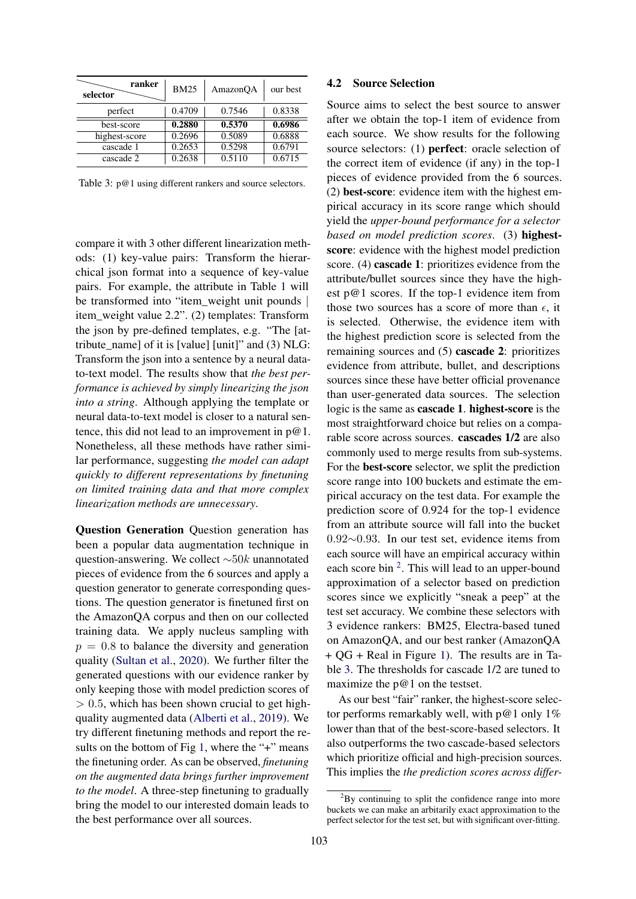<span id="page-4-1"></span>

| ranker<br>selector | <b>BM25</b> | AmazonQA | our best |
|--------------------|-------------|----------|----------|
| perfect            | 0.4709      | 0.7546   | 0.8338   |
| best-score         | 0.2880      | 0.5370   | 0.6986   |
| highest-score      | 0.2696      | 0.5089   | 0.6888   |
| cascade 1          | 0.2653      | 0.5298   | 0.6791   |
| cascade 2          | 0.2638      | 0.5110   | 0.6715   |

Table 3: p@1 using different rankers and source selectors.

compare it with 3 other different linearization methods: (1) key-value pairs: Transform the hierarchical json format into a sequence of key-value pairs. For example, the attribute in Table [1](#page-1-0) will be transformed into "item\_weight unit pounds | item\_weight value 2.2". (2) templates: Transform the json by pre-defined templates, e.g. "The [attribute\_name] of it is [value] [unit]" and (3) NLG: Transform the json into a sentence by a neural datato-text model. The results show that *the best performance is achieved by simply linearizing the json into a string*. Although applying the template or neural data-to-text model is closer to a natural sentence, this did not lead to an improvement in  $p@1$ . Nonetheless, all these methods have rather similar performance, suggesting *the model can adapt quickly to different representations by finetuning on limited training data and that more complex linearization methods are unnecessary*.

Question Generation Question generation has been a popular data augmentation technique in question-answering. We collect ∼50k unannotated pieces of evidence from the 6 sources and apply a question generator to generate corresponding questions. The question generator is finetuned first on the AmazonQA corpus and then on our collected training data. We apply nucleus sampling with  $p = 0.8$  to balance the diversity and generation quality [\(Sultan et al.,](#page-9-11) [2020\)](#page-9-11). We further filter the generated questions with our evidence ranker by only keeping those with model prediction scores of  $> 0.5$ , which has been shown crucial to get highquality augmented data [\(Alberti et al.,](#page-8-7) [2019\)](#page-8-7). We try different finetuning methods and report the re-sults on the bottom of Fig [1,](#page-3-0) where the "+" means the finetuning order. As can be observed, *finetuning on the augmented data brings further improvement to the model*. A three-step finetuning to gradually bring the model to our interested domain leads to the best performance over all sources.

#### 4.2 Source Selection

Source aims to select the best source to answer after we obtain the top-1 item of evidence from each source. We show results for the following source selectors: (1) perfect: oracle selection of the correct item of evidence (if any) in the top-1 pieces of evidence provided from the 6 sources. (2) best-score: evidence item with the highest empirical accuracy in its score range which should yield the *upper-bound performance for a selector based on model prediction scores*. (3) highestscore: evidence with the highest model prediction score. (4) cascade 1: prioritizes evidence from the attribute/bullet sources since they have the highest p@1 scores. If the top-1 evidence item from those two sources has a score of more than  $\epsilon$ , it is selected. Otherwise, the evidence item with the highest prediction score is selected from the remaining sources and (5) cascade 2: prioritizes evidence from attribute, bullet, and descriptions sources since these have better official provenance than user-generated data sources. The selection logic is the same as cascade 1. highest-score is the most straightforward choice but relies on a comparable score across sources. cascades 1/2 are also commonly used to merge results from sub-systems. For the best-score selector, we split the prediction score range into 100 buckets and estimate the empirical accuracy on the test data. For example the prediction score of 0.924 for the top-1 evidence from an attribute source will fall into the bucket 0.92∼0.93. In our test set, evidence items from each source will have an empirical accuracy within each score bin  $2$ . This will lead to an upper-bound approximation of a selector based on prediction scores since we explicitly "sneak a peep" at the test set accuracy. We combine these selectors with 3 evidence rankers: BM25, Electra-based tuned on AmazonQA, and our best ranker (AmazonQA + QG + Real in Figure [1\)](#page-3-0). The results are in Table [3.](#page-4-1) The thresholds for cascade 1/2 are tuned to maximize the p@1 on the testset.

As our best "fair" ranker, the highest-score selector performs remarkably well, with  $p@1$  only  $1%$ lower than that of the best-score-based selectors. It also outperforms the two cascade-based selectors which prioritize official and high-precision sources. This implies the *the prediction scores across differ-*

<span id="page-4-0"></span> $2By$  continuing to split the confidence range into more buckets we can make an arbitarily exact approximation to the perfect selector for the test set, but with significant over-fitting.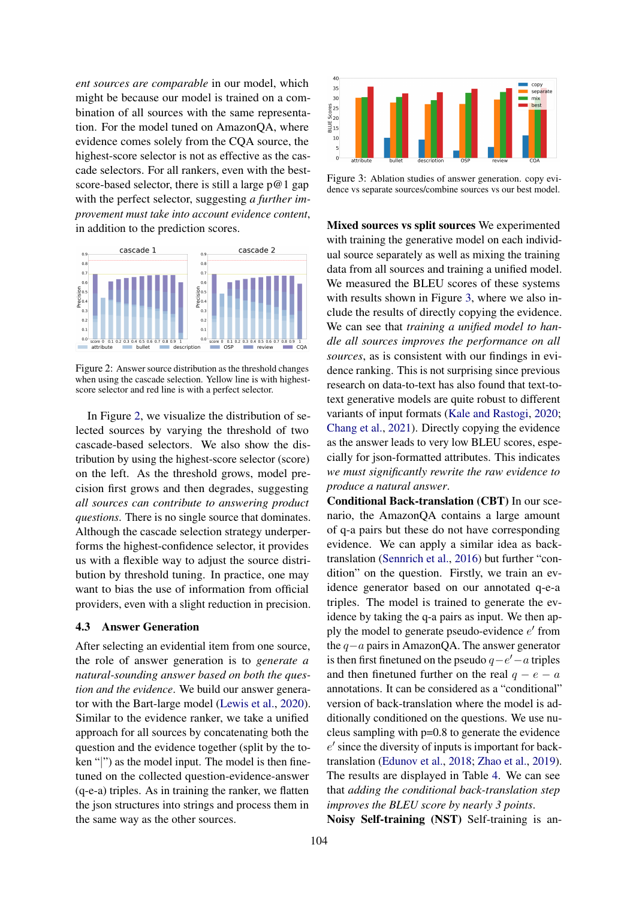*ent sources are comparable* in our model, which might be because our model is trained on a combination of all sources with the same representation. For the model tuned on AmazonQA, where evidence comes solely from the CQA source, the highest-score selector is not as effective as the cascade selectors. For all rankers, even with the bestscore-based selector, there is still a large  $p@1$  gap with the perfect selector, suggesting *a further improvement must take into account evidence content*, in addition to the prediction scores.

<span id="page-5-0"></span>

Figure 2: Answer source distribution as the threshold changes when using the cascade selection. Yellow line is with highestscore selector and red line is with a perfect selector.

In Figure [2,](#page-5-0) we visualize the distribution of selected sources by varying the threshold of two cascade-based selectors. We also show the distribution by using the highest-score selector (score) on the left. As the threshold grows, model precision first grows and then degrades, suggesting *all sources can contribute to answering product questions*. There is no single source that dominates. Although the cascade selection strategy underperforms the highest-confidence selector, it provides us with a flexible way to adjust the source distribution by threshold tuning. In practice, one may want to bias the use of information from official providers, even with a slight reduction in precision.

### 4.3 Answer Generation

After selecting an evidential item from one source, the role of answer generation is to *generate a natural-sounding answer based on both the question and the evidence*. We build our answer generator with the Bart-large model [\(Lewis et al.,](#page-9-12) [2020\)](#page-9-12). Similar to the evidence ranker, we take a unified approach for all sources by concatenating both the question and the evidence together (split by the token "|") as the model input. The model is then finetuned on the collected question-evidence-answer (q-e-a) triples. As in training the ranker, we flatten the json structures into strings and process them in the same way as the other sources.

<span id="page-5-1"></span>

Figure 3: Ablation studies of answer generation. copy evidence vs separate sources/combine sources vs our best model.

Mixed sources vs split sources We experimented with training the generative model on each individual source separately as well as mixing the training data from all sources and training a unified model. We measured the BLEU scores of these systems with results shown in Figure [3,](#page-5-1) where we also include the results of directly copying the evidence. We can see that *training a unified model to handle all sources improves the performance on all sources*, as is consistent with our findings in evidence ranking. This is not surprising since previous research on data-to-text has also found that text-totext generative models are quite robust to different variants of input formats [\(Kale and Rastogi,](#page-9-13) [2020;](#page-9-13) [Chang et al.,](#page-8-12) [2021\)](#page-8-12). Directly copying the evidence as the answer leads to very low BLEU scores, especially for json-formatted attributes. This indicates *we must significantly rewrite the raw evidence to produce a natural answer*.

Conditional Back-translation (CBT) In our scenario, the AmazonQA contains a large amount of q-a pairs but these do not have corresponding evidence. We can apply a similar idea as backtranslation [\(Sennrich et al.,](#page-9-14) [2016\)](#page-9-14) but further "condition" on the question. Firstly, we train an evidence generator based on our annotated q-e-a triples. The model is trained to generate the evidence by taking the q-a pairs as input. We then apply the model to generate pseudo-evidence  $e'$  from the q−a pairs in AmazonQA. The answer generator is then first finetuned on the pseudo  $q - e' - a$  triples and then finetuned further on the real  $q - e - a$ annotations. It can be considered as a "conditional" version of back-translation where the model is additionally conditioned on the questions. We use nucleus sampling with p=0.8 to generate the evidence e ′ since the diversity of inputs is important for backtranslation [\(Edunov et al.,](#page-8-13) [2018;](#page-8-13) [Zhao et al.,](#page-9-15) [2019\)](#page-9-15). The results are displayed in Table [4.](#page-6-0) We can see that *adding the conditional back-translation step improves the BLEU score by nearly 3 points*.

Noisy Self-training (NST) Self-training is an-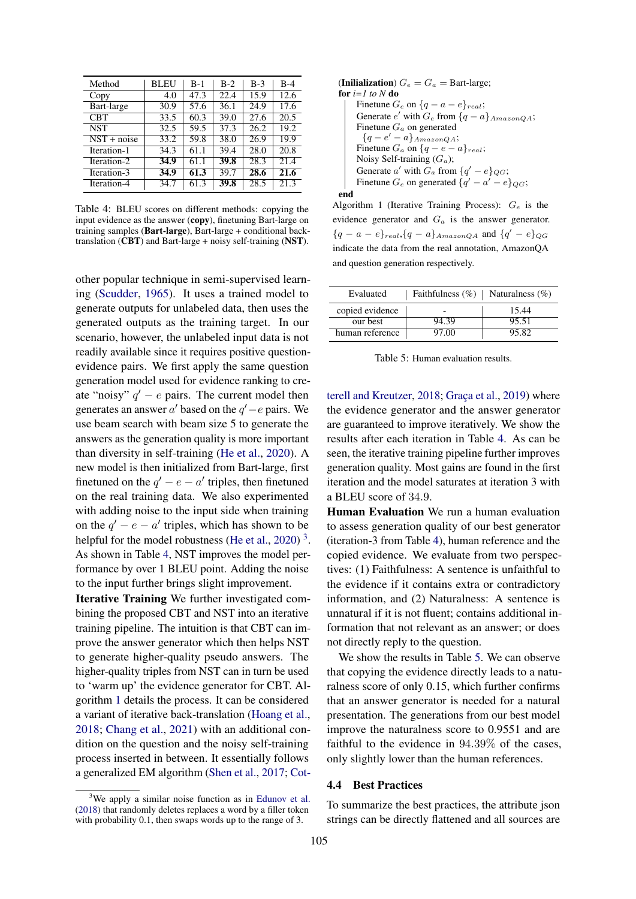<span id="page-6-0"></span>

| Method        | <b>BLEU</b> | $B-1$ | $B-2$ | $B-3$ | $B-4$             |
|---------------|-------------|-------|-------|-------|-------------------|
| Copy          | 4.0         | 47.3  | 22.4  | 15.9  | 12.6              |
| Bart-large    | 30.9        | 57.6  | 36.1  | 24.9  | 17.6              |
| <b>CBT</b>    | 33.5        | 60.3  | 39.0  | 27.6  | $\overline{20.5}$ |
| <b>NST</b>    | 32.5        | 59.5  | 37.3  | 26.2  | 19.2              |
| $NST + noise$ | 33.2        | 59.8  | 38.0  | 26.9  | 19.9              |
| Iteration-1   | 34.3        | 61.1  | 39.4  | 28.0  | 20.8              |
| Iteration-2   | 34.9        | 61.1  | 39.8  | 28.3  | 21.4              |
| Iteration-3   | 34.9        | 61.3  | 39.7  | 28.6  | $\overline{21.6}$ |
| Iteration-4   | 34.7        | 61.3  | 39.8  | 28.5  | 21.3              |

Table 4: BLEU scores on different methods: copying the input evidence as the answer (copy), finetuning Bart-large on training samples (Bart-large), Bart-large + conditional backtranslation (CBT) and Bart-large + noisy self-training (NST).

other popular technique in semi-supervised learning [\(Scudder,](#page-9-16) [1965\)](#page-9-16). It uses a trained model to generate outputs for unlabeled data, then uses the generated outputs as the training target. In our scenario, however, the unlabeled input data is not readily available since it requires positive questionevidence pairs. We first apply the same question generation model used for evidence ranking to create "noisy"  $q' - e$  pairs. The current model then generates an answer  $a'$  based on the  $q'-e$  pairs. We use beam search with beam size 5 to generate the answers as the generation quality is more important than diversity in self-training [\(He et al.,](#page-8-14) [2020\)](#page-8-14). A new model is then initialized from Bart-large, first finetuned on the  $q' - e - a'$  triples, then finetuned on the real training data. We also experimented with adding noise to the input side when training on the  $q' - e - a'$  triples, which has shown to be helpful for the model robustness [\(He et al.,](#page-8-14) [2020\)](#page-8-14)<sup>[3](#page-6-1)</sup>. As shown in Table [4,](#page-6-0) NST improves the model performance by over 1 BLEU point. Adding the noise to the input further brings slight improvement.

Iterative Training We further investigated combining the proposed CBT and NST into an iterative training pipeline. The intuition is that CBT can improve the answer generator which then helps NST to generate higher-quality pseudo answers. The higher-quality triples from NST can in turn be used to 'warm up' the evidence generator for CBT. Algorithm [1](#page-6-2) details the process. It can be considered a variant of iterative back-translation [\(Hoang et al.,](#page-8-15) [2018;](#page-8-15) [Chang et al.,](#page-8-12) [2021\)](#page-8-12) with an additional condition on the question and the noisy self-training process inserted in between. It essentially follows a generalized EM algorithm [\(Shen et al.,](#page-9-17) [2017;](#page-9-17) [Cot-](#page-8-16)

```
(Inilialization) G_e = G_a = Bart-large;
for i=1 to N do
    Finetune G_e on \{q - a - e\}_{real};
     Generate e' with G_e from \{q - a\} _{A max on QA};
    Finetune G_a on generated
      {q-e'-a}AmazonQA;
     Finetune G_a on \{q - e - a\}_{real};
    Noisy Self-training (G_a);
     Generate a' with G_a from \{q' - e\}_{QG};
     Finetune G_e on generated \{q' - a' - e\}_{QG};
end
```
<span id="page-6-2"></span>Algorithm 1 (Iterative Training Process):  $G_e$  is the evidence generator and  $G_a$  is the answer generator.  ${q - a - e}_{real}$ ,  ${q - a}_{AmaxonQA}$  and  ${q' - e}_{QG}$ indicate the data from the real annotation, AmazonQA and question generation respectively.

<span id="page-6-3"></span>

| Evaluated       | Faithfulness $(\%)$   Naturalness $(\%)$ |       |
|-----------------|------------------------------------------|-------|
| copied evidence |                                          | 15.44 |
| our best        | 94.39                                    | 95.51 |
| human reference | 97.00                                    | 95.82 |

Table 5: Human evaluation results.

[terell and Kreutzer,](#page-8-16) [2018;](#page-8-16) [Graça et al.,](#page-8-17) [2019\)](#page-8-17) where the evidence generator and the answer generator are guaranteed to improve iteratively. We show the results after each iteration in Table [4.](#page-6-0) As can be seen, the iterative training pipeline further improves generation quality. Most gains are found in the first iteration and the model saturates at iteration 3 with a BLEU score of 34.9.

Human Evaluation We run a human evaluation to assess generation quality of our best generator (iteration-3 from Table [4\)](#page-6-0), human reference and the copied evidence. We evaluate from two perspectives: (1) Faithfulness: A sentence is unfaithful to the evidence if it contains extra or contradictory information, and (2) Naturalness: A sentence is unnatural if it is not fluent; contains additional information that not relevant as an answer; or does not directly reply to the question.

We show the results in Table [5.](#page-6-3) We can observe that copying the evidence directly leads to a naturalness score of only 0.15, which further confirms that an answer generator is needed for a natural presentation. The generations from our best model improve the naturalness score to 0.9551 and are faithful to the evidence in 94.39% of the cases, only slightly lower than the human references.

#### 4.4 Best Practices

To summarize the best practices, the attribute json strings can be directly flattened and all sources are

<span id="page-6-1"></span> $3$ [We apply a similar noise function as in](#page-8-16) [Edunov et al.](#page-8-13) [\(2018\) that randomly deletes replaces a word by a filler token](#page-8-16) [with probability 0.1, then swaps words up to the range of 3.](#page-8-16)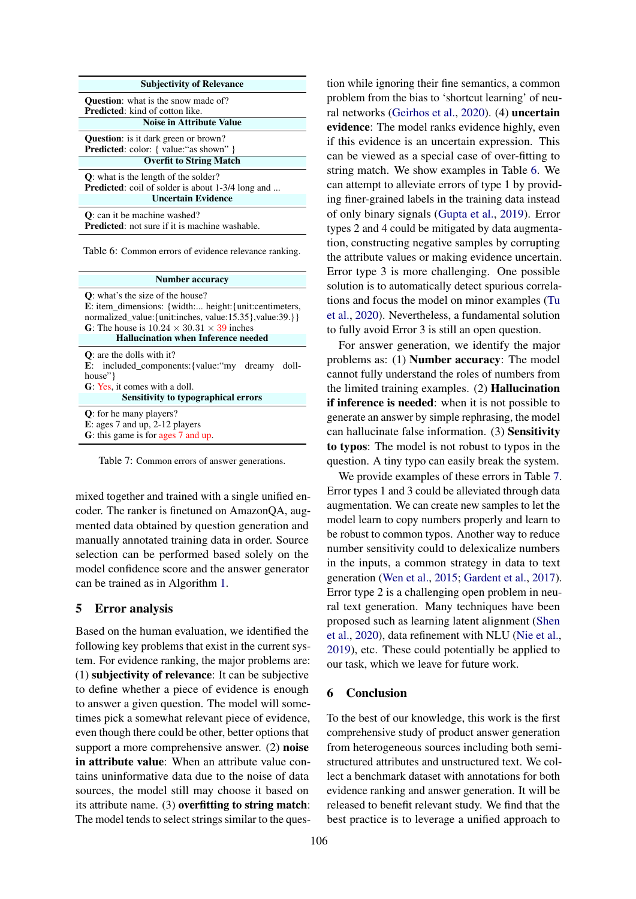<span id="page-7-0"></span>

Table 6: Common errors of evidence relevance ranking.

<span id="page-7-1"></span>

| Number accuracy                                                                                                                                                                                                                                                                     |  |  |  |  |
|-------------------------------------------------------------------------------------------------------------------------------------------------------------------------------------------------------------------------------------------------------------------------------------|--|--|--|--|
| <b>Q</b> : what's the size of the house?<br><b>E</b> : item_dimensions: {width: height: {unit: centimeters,<br>normalized value: {unit:inches, value: 15.35}, value: 39. } }<br>G: The house is $10.24 \times 30.31 \times 39$ inches<br><b>Hallucination when Inference needed</b> |  |  |  |  |
| $\mathbf{O}$ : are the dolls with it?<br><b>E</b> : included components: {value: "my dreamy doll-<br>house"<br>G: Yes, it comes with a doll.<br><b>Sensitivity to typographical errors</b>                                                                                          |  |  |  |  |
| <b>Q</b> : for he many players?<br>$E:$ ages 7 and up, 2-12 players<br>G: this game is for ages 7 and up.                                                                                                                                                                           |  |  |  |  |

Table 7: Common errors of answer generations.

mixed together and trained with a single unified encoder. The ranker is finetuned on AmazonQA, augmented data obtained by question generation and manually annotated training data in order. Source selection can be performed based solely on the model confidence score and the answer generator can be trained as in Algorithm [1.](#page-6-2)

#### 5 Error analysis

Based on the human evaluation, we identified the following key problems that exist in the current system. For evidence ranking, the major problems are: (1) subjectivity of relevance: It can be subjective to define whether a piece of evidence is enough to answer a given question. The model will sometimes pick a somewhat relevant piece of evidence, even though there could be other, better options that support a more comprehensive answer. (2) noise in attribute value: When an attribute value contains uninformative data due to the noise of data sources, the model still may choose it based on its attribute name. (3) overfitting to string match: The model tends to select strings similar to the question while ignoring their fine semantics, a common problem from the bias to 'shortcut learning' of neural networks [\(Geirhos et al.,](#page-8-18) [2020\)](#page-8-18). (4) uncertain evidence: The model ranks evidence highly, even if this evidence is an uncertain expression. This can be viewed as a special case of over-fitting to string match. We show examples in Table [6.](#page-7-0) We can attempt to alleviate errors of type 1 by providing finer-grained labels in the training data instead of only binary signals [\(Gupta et al.,](#page-8-6) [2019\)](#page-8-6). Error types 2 and 4 could be mitigated by data augmentation, constructing negative samples by corrupting the attribute values or making evidence uncertain. Error type 3 is more challenging. One possible solution is to automatically detect spurious correlations and focus the model on minor examples [\(Tu](#page-9-18) [et al.,](#page-9-18) [2020\)](#page-9-18). Nevertheless, a fundamental solution to fully avoid Error 3 is still an open question.

For answer generation, we identify the major problems as: (1) Number accuracy: The model cannot fully understand the roles of numbers from the limited training examples. (2) Hallucination if inference is needed: when it is not possible to generate an answer by simple rephrasing, the model can hallucinate false information. (3) Sensitivity to typos: The model is not robust to typos in the question. A tiny typo can easily break the system.

We provide examples of these errors in Table [7.](#page-7-1) Error types 1 and 3 could be alleviated through data augmentation. We can create new samples to let the model learn to copy numbers properly and learn to be robust to common typos. Another way to reduce number sensitivity could to delexicalize numbers in the inputs, a common strategy in data to text generation [\(Wen et al.,](#page-9-19) [2015;](#page-9-19) [Gardent et al.,](#page-8-19) [2017\)](#page-8-19). Error type 2 is a challenging open problem in neural text generation. Many techniques have been proposed such as learning latent alignment [\(Shen](#page-9-20) [et al.,](#page-9-20) [2020\)](#page-9-20), data refinement with NLU [\(Nie et al.,](#page-9-21) [2019\)](#page-9-21), etc. These could potentially be applied to our task, which we leave for future work.

#### 6 Conclusion

To the best of our knowledge, this work is the first comprehensive study of product answer generation from heterogeneous sources including both semistructured attributes and unstructured text. We collect a benchmark dataset with annotations for both evidence ranking and answer generation. It will be released to benefit relevant study. We find that the best practice is to leverage a unified approach to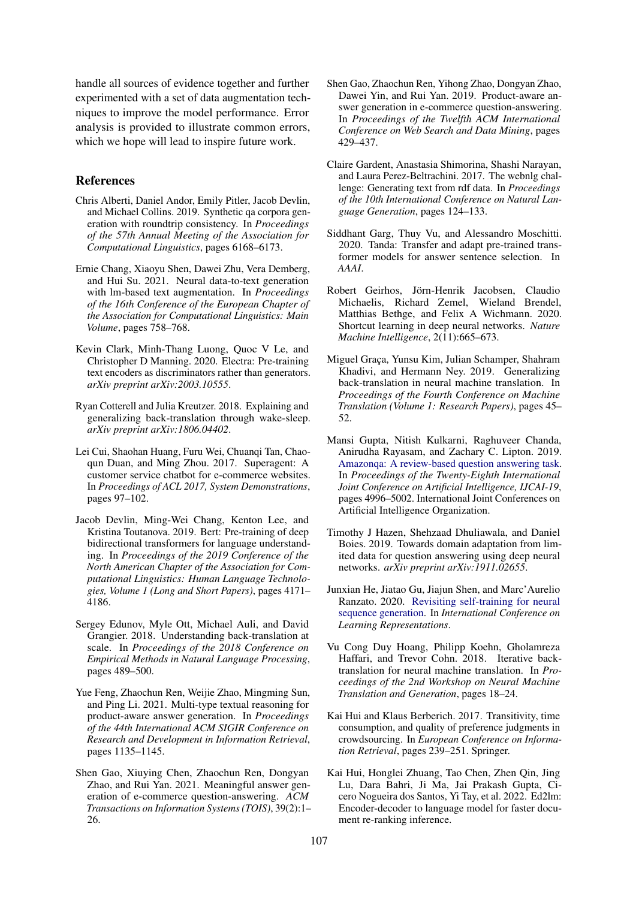handle all sources of evidence together and further experimented with a set of data augmentation techniques to improve the model performance. Error analysis is provided to illustrate common errors, which we hope will lead to inspire future work.

# References

- <span id="page-8-7"></span>Chris Alberti, Daniel Andor, Emily Pitler, Jacob Devlin, and Michael Collins. 2019. Synthetic qa corpora generation with roundtrip consistency. In *Proceedings of the 57th Annual Meeting of the Association for Computational Linguistics*, pages 6168–6173.
- <span id="page-8-12"></span>Ernie Chang, Xiaoyu Shen, Dawei Zhu, Vera Demberg, and Hui Su. 2021. Neural data-to-text generation with lm-based text augmentation. In *Proceedings of the 16th Conference of the European Chapter of the Association for Computational Linguistics: Main Volume*, pages 758–768.
- <span id="page-8-5"></span>Kevin Clark, Minh-Thang Luong, Quoc V Le, and Christopher D Manning. 2020. Electra: Pre-training text encoders as discriminators rather than generators. *arXiv preprint arXiv:2003.10555*.
- <span id="page-8-16"></span>Ryan Cotterell and Julia Kreutzer. 2018. Explaining and generalizing back-translation through wake-sleep. *arXiv preprint arXiv:1806.04402*.
- <span id="page-8-0"></span>Lei Cui, Shaohan Huang, Furu Wei, Chuangi Tan, Chaoqun Duan, and Ming Zhou. 2017. Superagent: A customer service chatbot for e-commerce websites. In *Proceedings of ACL 2017, System Demonstrations*, pages 97–102.
- <span id="page-8-4"></span>Jacob Devlin, Ming-Wei Chang, Kenton Lee, and Kristina Toutanova. 2019. Bert: Pre-training of deep bidirectional transformers for language understanding. In *Proceedings of the 2019 Conference of the North American Chapter of the Association for Computational Linguistics: Human Language Technologies, Volume 1 (Long and Short Papers)*, pages 4171– 4186.
- <span id="page-8-13"></span>Sergey Edunov, Myle Ott, Michael Auli, and David Grangier. 2018. Understanding back-translation at scale. In *Proceedings of the 2018 Conference on Empirical Methods in Natural Language Processing*, pages 489–500.
- <span id="page-8-2"></span>Yue Feng, Zhaochun Ren, Weijie Zhao, Mingming Sun, and Ping Li. 2021. Multi-type textual reasoning for product-aware answer generation. In *Proceedings of the 44th International ACM SIGIR Conference on Research and Development in Information Retrieval*, pages 1135–1145.
- <span id="page-8-3"></span>Shen Gao, Xiuying Chen, Zhaochun Ren, Dongyan Zhao, and Rui Yan. 2021. Meaningful answer generation of e-commerce question-answering. *ACM Transactions on Information Systems (TOIS)*, 39(2):1– 26.
- <span id="page-8-1"></span>Shen Gao, Zhaochun Ren, Yihong Zhao, Dongyan Zhao, Dawei Yin, and Rui Yan. 2019. Product-aware answer generation in e-commerce question-answering. In *Proceedings of the Twelfth ACM International Conference on Web Search and Data Mining*, pages 429–437.
- <span id="page-8-19"></span>Claire Gardent, Anastasia Shimorina, Shashi Narayan, and Laura Perez-Beltrachini. 2017. The webnlg challenge: Generating text from rdf data. In *Proceedings of the 10th International Conference on Natural Language Generation*, pages 124–133.
- <span id="page-8-10"></span>Siddhant Garg, Thuy Vu, and Alessandro Moschitti. 2020. Tanda: Transfer and adapt pre-trained transformer models for answer sentence selection. In *AAAI*.
- <span id="page-8-18"></span>Robert Geirhos, Jörn-Henrik Jacobsen, Claudio Michaelis, Richard Zemel, Wieland Brendel, Matthias Bethge, and Felix A Wichmann. 2020. Shortcut learning in deep neural networks. *Nature Machine Intelligence*, 2(11):665–673.
- <span id="page-8-17"></span>Miguel Graça, Yunsu Kim, Julian Schamper, Shahram Khadivi, and Hermann Ney. 2019. Generalizing back-translation in neural machine translation. In *Proceedings of the Fourth Conference on Machine Translation (Volume 1: Research Papers)*, pages 45– 52.
- <span id="page-8-6"></span>Mansi Gupta, Nitish Kulkarni, Raghuveer Chanda, Anirudha Rayasam, and Zachary C. Lipton. 2019. [Amazonqa: A review-based question answering task.](https://doi.org/10.24963/ijcai.2019/694) In *Proceedings of the Twenty-Eighth International Joint Conference on Artificial Intelligence, IJCAI-19*, pages 4996–5002. International Joint Conferences on Artificial Intelligence Organization.
- <span id="page-8-9"></span>Timothy J Hazen, Shehzaad Dhuliawala, and Daniel Boies. 2019. Towards domain adaptation from limited data for question answering using deep neural networks. *arXiv preprint arXiv:1911.02655*.
- <span id="page-8-14"></span>Junxian He, Jiatao Gu, Jiajun Shen, and Marc'Aurelio Ranzato. 2020. [Revisiting self-training for neural](https://openreview.net/forum?id=SJgdnAVKDH) [sequence generation.](https://openreview.net/forum?id=SJgdnAVKDH) In *International Conference on Learning Representations*.
- <span id="page-8-15"></span>Vu Cong Duy Hoang, Philipp Koehn, Gholamreza Haffari, and Trevor Cohn. 2018. Iterative backtranslation for neural machine translation. In *Proceedings of the 2nd Workshop on Neural Machine Translation and Generation*, pages 18–24.
- <span id="page-8-8"></span>Kai Hui and Klaus Berberich. 2017. Transitivity, time consumption, and quality of preference judgments in crowdsourcing. In *European Conference on Information Retrieval*, pages 239–251. Springer.
- <span id="page-8-11"></span>Kai Hui, Honglei Zhuang, Tao Chen, Zhen Qin, Jing Lu, Dara Bahri, Ji Ma, Jai Prakash Gupta, Cicero Nogueira dos Santos, Yi Tay, et al. 2022. Ed2lm: Encoder-decoder to language model for faster document re-ranking inference.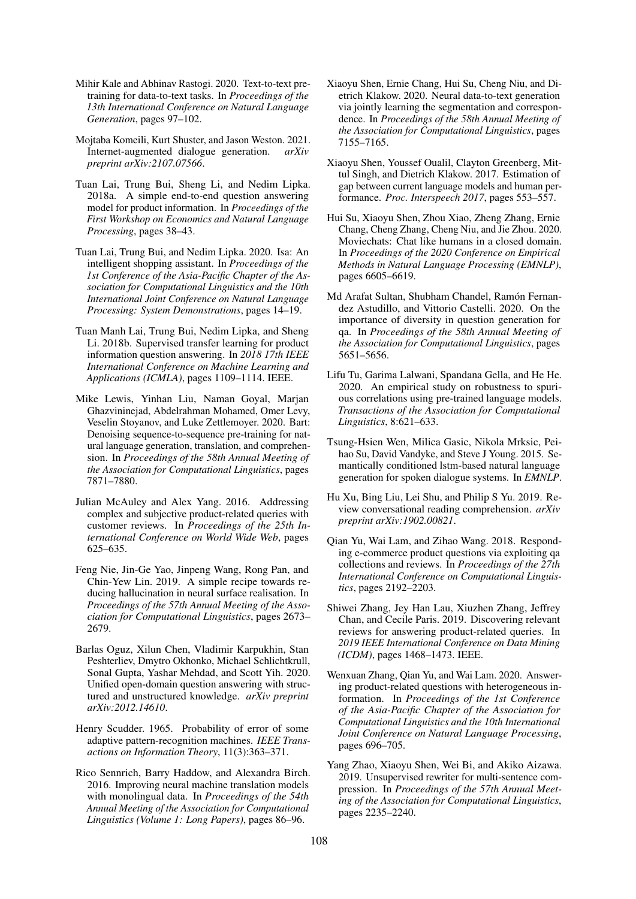- <span id="page-9-13"></span>Mihir Kale and Abhinav Rastogi. 2020. Text-to-text pretraining for data-to-text tasks. In *Proceedings of the 13th International Conference on Natural Language Generation*, pages 97–102.
- <span id="page-9-9"></span>Mojtaba Komeili, Kurt Shuster, and Jason Weston. 2021. Internet-augmented dialogue generation. *arXiv preprint arXiv:2107.07566*.
- <span id="page-9-0"></span>Tuan Lai, Trung Bui, Sheng Li, and Nedim Lipka. 2018a. A simple end-to-end question answering model for product information. In *Proceedings of the First Workshop on Economics and Natural Language Processing*, pages 38–43.
- <span id="page-9-1"></span>Tuan Lai, Trung Bui, and Nedim Lipka. 2020. Isa: An intelligent shopping assistant. In *Proceedings of the 1st Conference of the Asia-Pacific Chapter of the Association for Computational Linguistics and the 10th International Joint Conference on Natural Language Processing: System Demonstrations*, pages 14–19.
- <span id="page-9-10"></span>Tuan Manh Lai, Trung Bui, Nedim Lipka, and Sheng Li. 2018b. Supervised transfer learning for product information question answering. In *2018 17th IEEE International Conference on Machine Learning and Applications (ICMLA)*, pages 1109–1114. IEEE.
- <span id="page-9-12"></span>Mike Lewis, Yinhan Liu, Naman Goyal, Marjan Ghazvininejad, Abdelrahman Mohamed, Omer Levy, Veselin Stoyanov, and Luke Zettlemoyer. 2020. Bart: Denoising sequence-to-sequence pre-training for natural language generation, translation, and comprehension. In *Proceedings of the 58th Annual Meeting of the Association for Computational Linguistics*, pages 7871–7880.
- <span id="page-9-2"></span>Julian McAuley and Alex Yang. 2016. Addressing complex and subjective product-related queries with customer reviews. In *Proceedings of the 25th International Conference on World Wide Web*, pages 625–635.
- <span id="page-9-21"></span>Feng Nie, Jin-Ge Yao, Jinpeng Wang, Rong Pan, and Chin-Yew Lin. 2019. A simple recipe towards reducing hallucination in neural surface realisation. In *Proceedings of the 57th Annual Meeting of the Association for Computational Linguistics*, pages 2673– 2679.
- <span id="page-9-7"></span>Barlas Oguz, Xilun Chen, Vladimir Karpukhin, Stan Peshterliev, Dmytro Okhonko, Michael Schlichtkrull, Sonal Gupta, Yashar Mehdad, and Scott Yih. 2020. Unified open-domain question answering with structured and unstructured knowledge. *arXiv preprint arXiv:2012.14610*.
- <span id="page-9-16"></span>Henry Scudder. 1965. Probability of error of some adaptive pattern-recognition machines. *IEEE Transactions on Information Theory*, 11(3):363–371.
- <span id="page-9-14"></span>Rico Sennrich, Barry Haddow, and Alexandra Birch. 2016. Improving neural machine translation models with monolingual data. In *Proceedings of the 54th Annual Meeting of the Association for Computational Linguistics (Volume 1: Long Papers)*, pages 86–96.
- <span id="page-9-20"></span>Xiaoyu Shen, Ernie Chang, Hui Su, Cheng Niu, and Dietrich Klakow. 2020. Neural data-to-text generation via jointly learning the segmentation and correspondence. In *Proceedings of the 58th Annual Meeting of the Association for Computational Linguistics*, pages 7155–7165.
- <span id="page-9-17"></span>Xiaoyu Shen, Youssef Oualil, Clayton Greenberg, Mittul Singh, and Dietrich Klakow. 2017. Estimation of gap between current language models and human performance. *Proc. Interspeech 2017*, pages 553–557.
- <span id="page-9-8"></span>Hui Su, Xiaoyu Shen, Zhou Xiao, Zheng Zhang, Ernie Chang, Cheng Zhang, Cheng Niu, and Jie Zhou. 2020. Moviechats: Chat like humans in a closed domain. In *Proceedings of the 2020 Conference on Empirical Methods in Natural Language Processing (EMNLP)*, pages 6605–6619.
- <span id="page-9-11"></span>Md Arafat Sultan, Shubham Chandel, Ramón Fernandez Astudillo, and Vittorio Castelli. 2020. On the importance of diversity in question generation for qa. In *Proceedings of the 58th Annual Meeting of the Association for Computational Linguistics*, pages 5651–5656.
- <span id="page-9-18"></span>Lifu Tu, Garima Lalwani, Spandana Gella, and He He. 2020. An empirical study on robustness to spurious correlations using pre-trained language models. *Transactions of the Association for Computational Linguistics*, 8:621–633.
- <span id="page-9-19"></span>Tsung-Hsien Wen, Milica Gasic, Nikola Mrksic, Peihao Su, David Vandyke, and Steve J Young. 2015. Semantically conditioned lstm-based natural language generation for spoken dialogue systems. In *EMNLP*.
- <span id="page-9-6"></span>Hu Xu, Bing Liu, Lei Shu, and Philip S Yu. 2019. Review conversational reading comprehension. *arXiv preprint arXiv:1902.00821*.
- <span id="page-9-3"></span>Qian Yu, Wai Lam, and Zihao Wang. 2018. Responding e-commerce product questions via exploiting qa collections and reviews. In *Proceedings of the 27th International Conference on Computational Linguistics*, pages 2192–2203.
- <span id="page-9-4"></span>Shiwei Zhang, Jey Han Lau, Xiuzhen Zhang, Jeffrey Chan, and Cecile Paris. 2019. Discovering relevant reviews for answering product-related queries. In *2019 IEEE International Conference on Data Mining (ICDM)*, pages 1468–1473. IEEE.
- <span id="page-9-5"></span>Wenxuan Zhang, Qian Yu, and Wai Lam. 2020. Answering product-related questions with heterogeneous information. In *Proceedings of the 1st Conference of the Asia-Pacific Chapter of the Association for Computational Linguistics and the 10th International Joint Conference on Natural Language Processing*, pages 696–705.
- <span id="page-9-15"></span>Yang Zhao, Xiaoyu Shen, Wei Bi, and Akiko Aizawa. 2019. Unsupervised rewriter for multi-sentence compression. In *Proceedings of the 57th Annual Meeting of the Association for Computational Linguistics*, pages 2235–2240.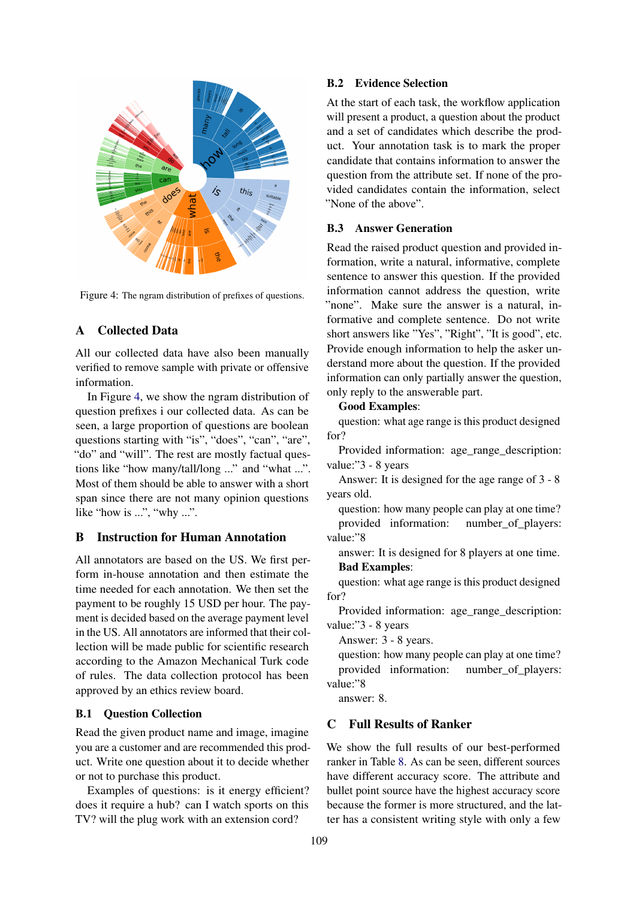<span id="page-10-1"></span>

Figure 4: The ngram distribution of prefixes of questions.

# A Collected Data

All our collected data have also been manually verified to remove sample with private or offensive information.

In Figure [4,](#page-10-1) we show the ngram distribution of question prefixes i our collected data. As can be seen, a large proportion of questions are boolean questions starting with "is", "does", "can", "are", "do" and "will". The rest are mostly factual questions like "how many/tall/long ..." and "what ...". Most of them should be able to answer with a short span since there are not many opinion questions like "how is ...", "why ...".

# B Instruction for Human Annotation

All annotators are based on the US. We first perform in-house annotation and then estimate the time needed for each annotation. We then set the payment to be roughly 15 USD per hour. The payment is decided based on the average payment level in the US. All annotators are informed that their collection will be made public for scientific research according to the Amazon Mechanical Turk code of rules. The data collection protocol has been approved by an ethics review board.

# B.1 Question Collection

Read the given product name and image, imagine you are a customer and are recommended this product. Write one question about it to decide whether or not to purchase this product.

Examples of questions: is it energy efficient? does it require a hub? can I watch sports on this TV? will the plug work with an extension cord?

### B.2 Evidence Selection

At the start of each task, the workflow application will present a product, a question about the product and a set of candidates which describe the product. Your annotation task is to mark the proper candidate that contains information to answer the question from the attribute set. If none of the provided candidates contain the information, select "None of the above".

# B.3 Answer Generation

Read the raised product question and provided information, write a natural, informative, complete sentence to answer this question. If the provided information cannot address the question, write "none". Make sure the answer is a natural, informative and complete sentence. Do not write short answers like "Yes", "Right", "It is good", etc. Provide enough information to help the asker understand more about the question. If the provided information can only partially answer the question, only reply to the answerable part.

## Good Examples:

question: what age range is this product designed for?

Provided information: age\_range\_description: value:"3 - 8 years

Answer: It is designed for the age range of 3 - 8 years old.

question: how many people can play at one time? provided information: number\_of\_players: value:"8

answer: It is designed for 8 players at one time. Bad Examples:

question: what age range is this product designed for?

Provided information: age\_range\_description: value:"3 - 8 years

Answer: 3 - 8 years.

question: how many people can play at one time? provided information: number\_of\_players: value:"8

answer: 8.

# <span id="page-10-0"></span>C Full Results of Ranker

We show the full results of our best-performed ranker in Table [8.](#page-11-1) As can be seen, different sources have different accuracy score. The attribute and bullet point source have the highest accuracy score because the former is more structured, and the latter has a consistent writing style with only a few